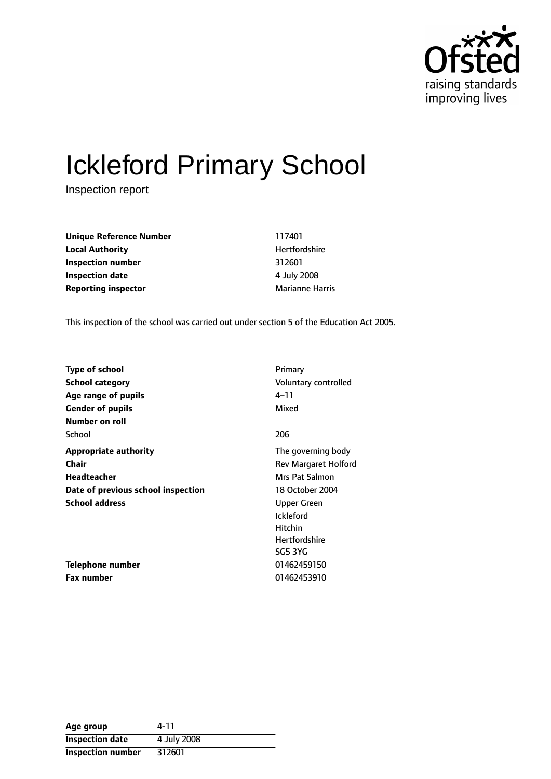

# Ickleford Primary School

Inspection report

**Unique Reference Number** 117401 **Local Authority Material Authority Hertfordshire Inspection number** 312601 **Inspection date** 4 July 2008 **Reporting inspector** Marianne Harris

This inspection of the school was carried out under section 5 of the Education Act 2005.

| <b>Type of school</b>              | Primary                     |
|------------------------------------|-----------------------------|
| School category                    | Voluntary controlled        |
| Age range of pupils                | $4 - 11$                    |
| <b>Gender of pupils</b>            | Mixed                       |
| Number on roll                     |                             |
| School                             | 206                         |
| <b>Appropriate authority</b>       | The governing body          |
| Chair                              | <b>Rev Margaret Holford</b> |
| Headteacher                        | Mrs Pat Salmon              |
| Date of previous school inspection | 18 October 2004             |
| <b>School address</b>              | Upper Green                 |
|                                    | <b>Ickleford</b>            |
|                                    | <b>Hitchin</b>              |
|                                    | <b>Hertfordshire</b>        |
|                                    | SG5 3YG                     |
| Telephone number                   | 01462459150                 |
| <b>Fax number</b>                  | 01462453910                 |

| Age group                | 4-11        |
|--------------------------|-------------|
| <b>Inspection date</b>   | 4 July 2008 |
| <b>Inspection number</b> | 312601      |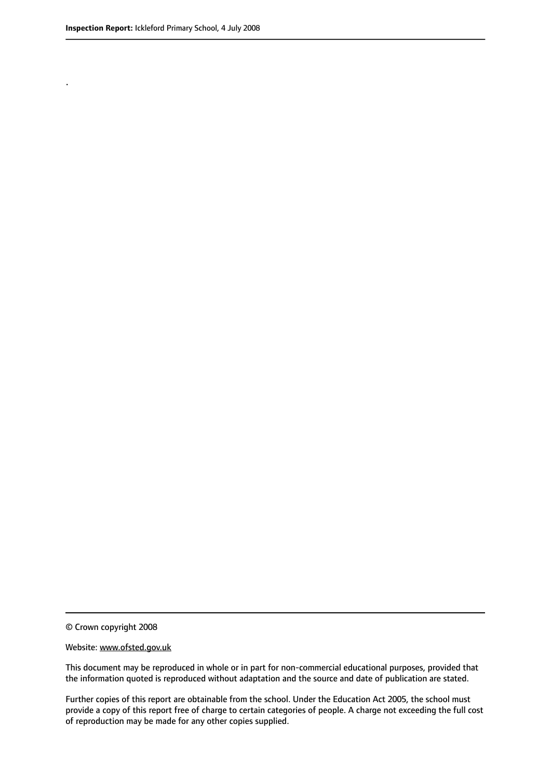.

© Crown copyright 2008

#### Website: www.ofsted.gov.uk

This document may be reproduced in whole or in part for non-commercial educational purposes, provided that the information quoted is reproduced without adaptation and the source and date of publication are stated.

Further copies of this report are obtainable from the school. Under the Education Act 2005, the school must provide a copy of this report free of charge to certain categories of people. A charge not exceeding the full cost of reproduction may be made for any other copies supplied.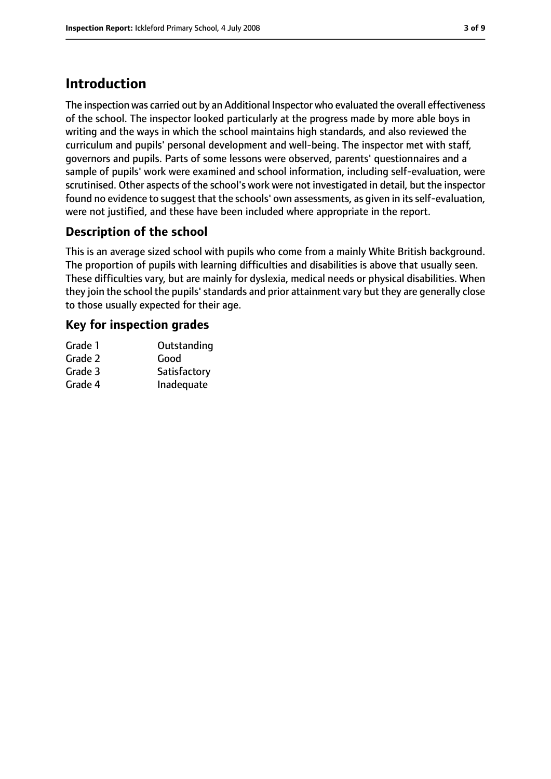# **Introduction**

The inspection was carried out by an Additional Inspector who evaluated the overall effectiveness of the school. The inspector looked particularly at the progress made by more able boys in writing and the ways in which the school maintains high standards, and also reviewed the curriculum and pupils' personal development and well-being. The inspector met with staff, governors and pupils. Parts of some lessons were observed, parents' questionnaires and a sample of pupils' work were examined and school information, including self-evaluation, were scrutinised. Other aspects of the school's work were not investigated in detail, but the inspector found no evidence to suggest that the schools' own assessments, as given in its self-evaluation, were not justified, and these have been included where appropriate in the report.

# **Description of the school**

This is an average sized school with pupils who come from a mainly White British background. The proportion of pupils with learning difficulties and disabilities is above that usually seen. These difficulties vary, but are mainly for dyslexia, medical needs or physical disabilities. When they join the school the pupils'standards and prior attainment vary but they are generally close to those usually expected for their age.

## **Key for inspection grades**

| Grade 1 | Outstanding  |
|---------|--------------|
| Grade 2 | Good         |
| Grade 3 | Satisfactory |
| Grade 4 | Inadequate   |
|         |              |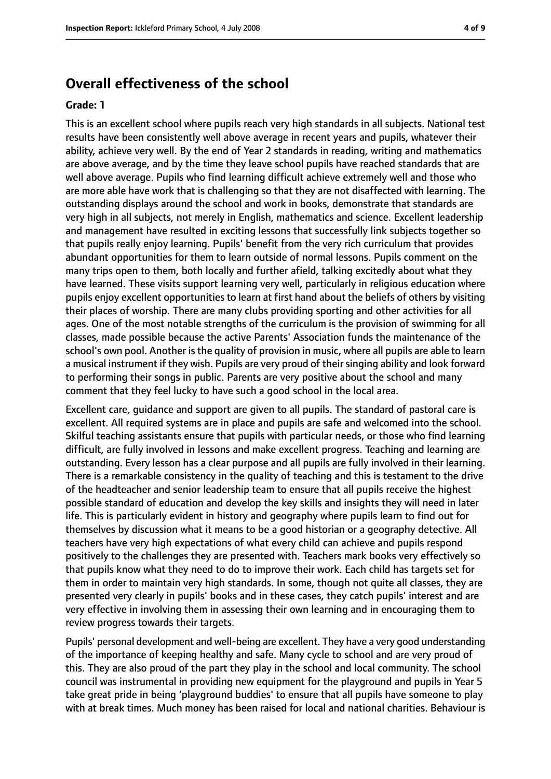# **Overall effectiveness of the school**

#### **Grade: 1**

This is an excellent school where pupils reach very high standards in all subjects. National test results have been consistently well above average in recent years and pupils, whatever their ability, achieve very well. By the end of Year 2 standards in reading, writing and mathematics are above average, and by the time they leave school pupils have reached standards that are well above average. Pupils who find learning difficult achieve extremely well and those who are more able have work that is challenging so that they are not disaffected with learning. The outstanding displays around the school and work in books, demonstrate that standards are very high in all subjects, not merely in English, mathematics and science. Excellent leadership and management have resulted in exciting lessons that successfully link subjects together so that pupils really enjoy learning. Pupils' benefit from the very rich curriculum that provides abundant opportunities for them to learn outside of normal lessons. Pupils comment on the many trips open to them, both locally and further afield, talking excitedly about what they have learned. These visits support learning very well, particularly in religious education where pupils enjoy excellent opportunities to learn at first hand about the beliefs of others by visiting their places of worship. There are many clubs providing sporting and other activities for all ages. One of the most notable strengths of the curriculum is the provision of swimming for all classes, made possible because the active Parents' Association funds the maintenance of the school's own pool. Another is the quality of provision in music, where all pupils are able to learn a musical instrument if they wish. Pupils are very proud of their singing ability and look forward to performing their songs in public. Parents are very positive about the school and many comment that they feel lucky to have such a good school in the local area.

Excellent care, guidance and support are given to all pupils. The standard of pastoral care is excellent. All required systems are in place and pupils are safe and welcomed into the school. Skilful teaching assistants ensure that pupils with particular needs, or those who find learning difficult, are fully involved in lessons and make excellent progress. Teaching and learning are outstanding. Every lesson has a clear purpose and all pupils are fully involved in their learning. There is a remarkable consistency in the quality of teaching and this is testament to the drive of the headteacher and senior leadership team to ensure that all pupils receive the highest possible standard of education and develop the key skills and insights they will need in later life. This is particularly evident in history and geography where pupils learn to find out for themselves by discussion what it means to be a good historian or a geography detective. All teachers have very high expectations of what every child can achieve and pupils respond positively to the challenges they are presented with. Teachers mark books very effectively so that pupils know what they need to do to improve their work. Each child has targets set for them in order to maintain very high standards. In some, though not quite all classes, they are presented very clearly in pupils' books and in these cases, they catch pupils' interest and are very effective in involving them in assessing their own learning and in encouraging them to review progress towards their targets.

Pupils' personal development and well-being are excellent. They have a very good understanding of the importance of keeping healthy and safe. Many cycle to school and are very proud of this. They are also proud of the part they play in the school and local community. The school council was instrumental in providing new equipment for the playground and pupils in Year 5 take great pride in being 'playground buddies' to ensure that all pupils have someone to play with at break times. Much money has been raised for local and national charities. Behaviour is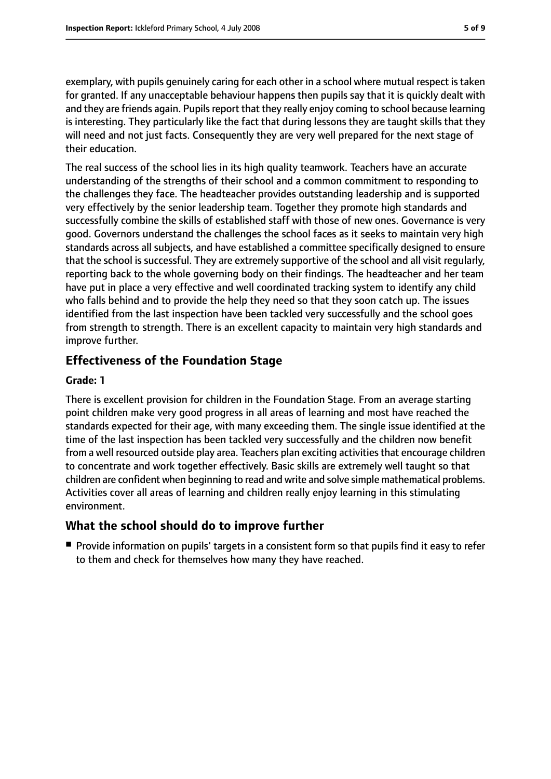exemplary, with pupils genuinely caring for each other in a school where mutual respect is taken for granted. If any unacceptable behaviour happens then pupils say that it is quickly dealt with and they are friends again. Pupils report that they really enjoy coming to school because learning is interesting. They particularly like the fact that during lessons they are taught skills that they will need and not just facts. Consequently they are very well prepared for the next stage of their education.

The real success of the school lies in its high quality teamwork. Teachers have an accurate understanding of the strengths of their school and a common commitment to responding to the challenges they face. The headteacher provides outstanding leadership and is supported very effectively by the senior leadership team. Together they promote high standards and successfully combine the skills of established staff with those of new ones. Governance is very good. Governors understand the challenges the school faces as it seeks to maintain very high standards across all subjects, and have established a committee specifically designed to ensure that the school is successful. They are extremely supportive of the school and all visit regularly, reporting back to the whole governing body on their findings. The headteacher and her team have put in place a very effective and well coordinated tracking system to identify any child who falls behind and to provide the help they need so that they soon catch up. The issues identified from the last inspection have been tackled very successfully and the school goes from strength to strength. There is an excellent capacity to maintain very high standards and improve further.

# **Effectiveness of the Foundation Stage**

#### **Grade: 1**

There is excellent provision for children in the Foundation Stage. From an average starting point children make very good progress in all areas of learning and most have reached the standards expected for their age, with many exceeding them. The single issue identified at the time of the last inspection has been tackled very successfully and the children now benefit from a well resourced outside play area. Teachers plan exciting activities that encourage children to concentrate and work together effectively. Basic skills are extremely well taught so that children are confident when beginning to read and write and solve simple mathematical problems. Activities cover all areas of learning and children really enjoy learning in this stimulating environment.

### **What the school should do to improve further**

■ Provide information on pupils' targets in a consistent form so that pupils find it easy to refer to them and check for themselves how many they have reached.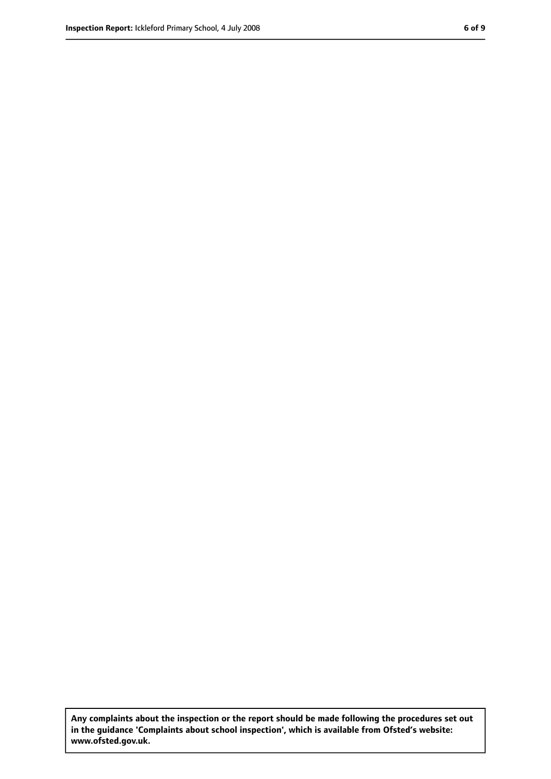**Any complaints about the inspection or the report should be made following the procedures set out in the guidance 'Complaints about school inspection', which is available from Ofsted's website: www.ofsted.gov.uk.**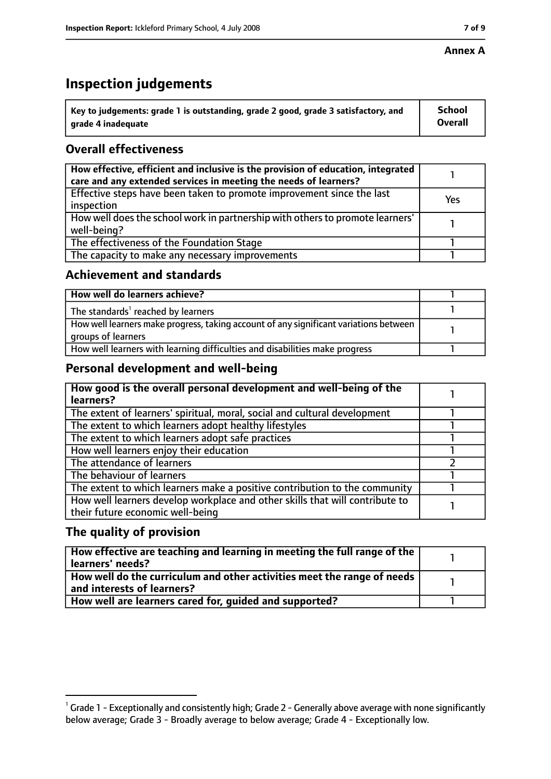#### **Annex A**

# **Inspection judgements**

| $^{\backprime}$ Key to judgements: grade 1 is outstanding, grade 2 good, grade 3 satisfactory, and | <b>School</b>  |
|----------------------------------------------------------------------------------------------------|----------------|
| arade 4 inadequate                                                                                 | <b>Overall</b> |

# **Overall effectiveness**

| How effective, efficient and inclusive is the provision of education, integrated<br>care and any extended services in meeting the needs of learners? |     |
|------------------------------------------------------------------------------------------------------------------------------------------------------|-----|
| Effective steps have been taken to promote improvement since the last<br>inspection                                                                  | Yes |
| How well does the school work in partnership with others to promote learners'<br>well-being?                                                         |     |
| The effectiveness of the Foundation Stage                                                                                                            |     |
| The capacity to make any necessary improvements                                                                                                      |     |

## **Achievement and standards**

| How well do learners achieve?                                                                               |  |
|-------------------------------------------------------------------------------------------------------------|--|
| The standards <sup>1</sup> reached by learners                                                              |  |
| How well learners make progress, taking account of any significant variations between<br>groups of learners |  |
| How well learners with learning difficulties and disabilities make progress                                 |  |

# **Personal development and well-being**

| How good is the overall personal development and well-being of the<br>learners?                                  |  |
|------------------------------------------------------------------------------------------------------------------|--|
| The extent of learners' spiritual, moral, social and cultural development                                        |  |
| The extent to which learners adopt healthy lifestyles                                                            |  |
| The extent to which learners adopt safe practices                                                                |  |
| How well learners enjoy their education                                                                          |  |
| The attendance of learners                                                                                       |  |
| The behaviour of learners                                                                                        |  |
| The extent to which learners make a positive contribution to the community                                       |  |
| How well learners develop workplace and other skills that will contribute to<br>their future economic well-being |  |

# **The quality of provision**

| How effective are teaching and learning in meeting the full range of the<br>learners' needs?          |  |
|-------------------------------------------------------------------------------------------------------|--|
| How well do the curriculum and other activities meet the range of needs<br>and interests of learners? |  |
| How well are learners cared for, quided and supported?                                                |  |

 $^1$  Grade 1 - Exceptionally and consistently high; Grade 2 - Generally above average with none significantly below average; Grade 3 - Broadly average to below average; Grade 4 - Exceptionally low.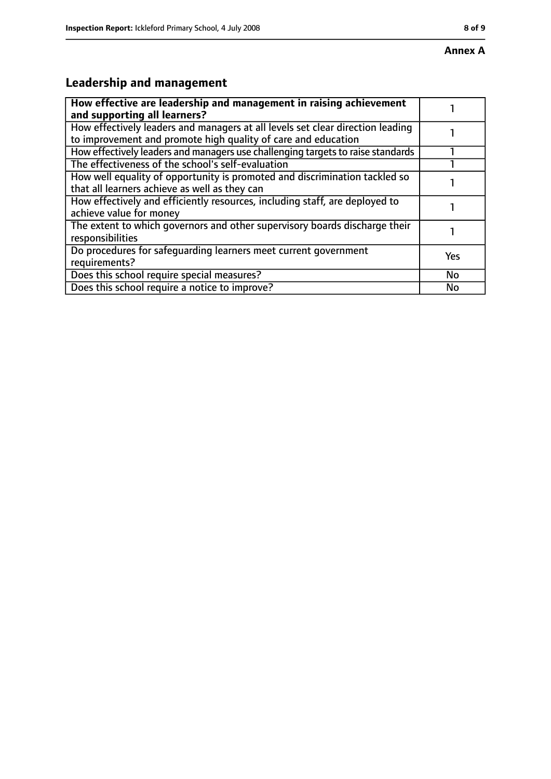# **Leadership and management**

| How effective are leadership and management in raising achievement<br>and supporting all learners?                                              |     |
|-------------------------------------------------------------------------------------------------------------------------------------------------|-----|
| How effectively leaders and managers at all levels set clear direction leading<br>to improvement and promote high quality of care and education |     |
| How effectively leaders and managers use challenging targets to raise standards                                                                 |     |
| The effectiveness of the school's self-evaluation                                                                                               |     |
| How well equality of opportunity is promoted and discrimination tackled so<br>that all learners achieve as well as they can                     |     |
| How effectively and efficiently resources, including staff, are deployed to<br>achieve value for money                                          |     |
| The extent to which governors and other supervisory boards discharge their<br>responsibilities                                                  |     |
| Do procedures for safequarding learners meet current government<br>requirements?                                                                | Yes |
| Does this school require special measures?                                                                                                      | No  |
| Does this school require a notice to improve?                                                                                                   | No  |